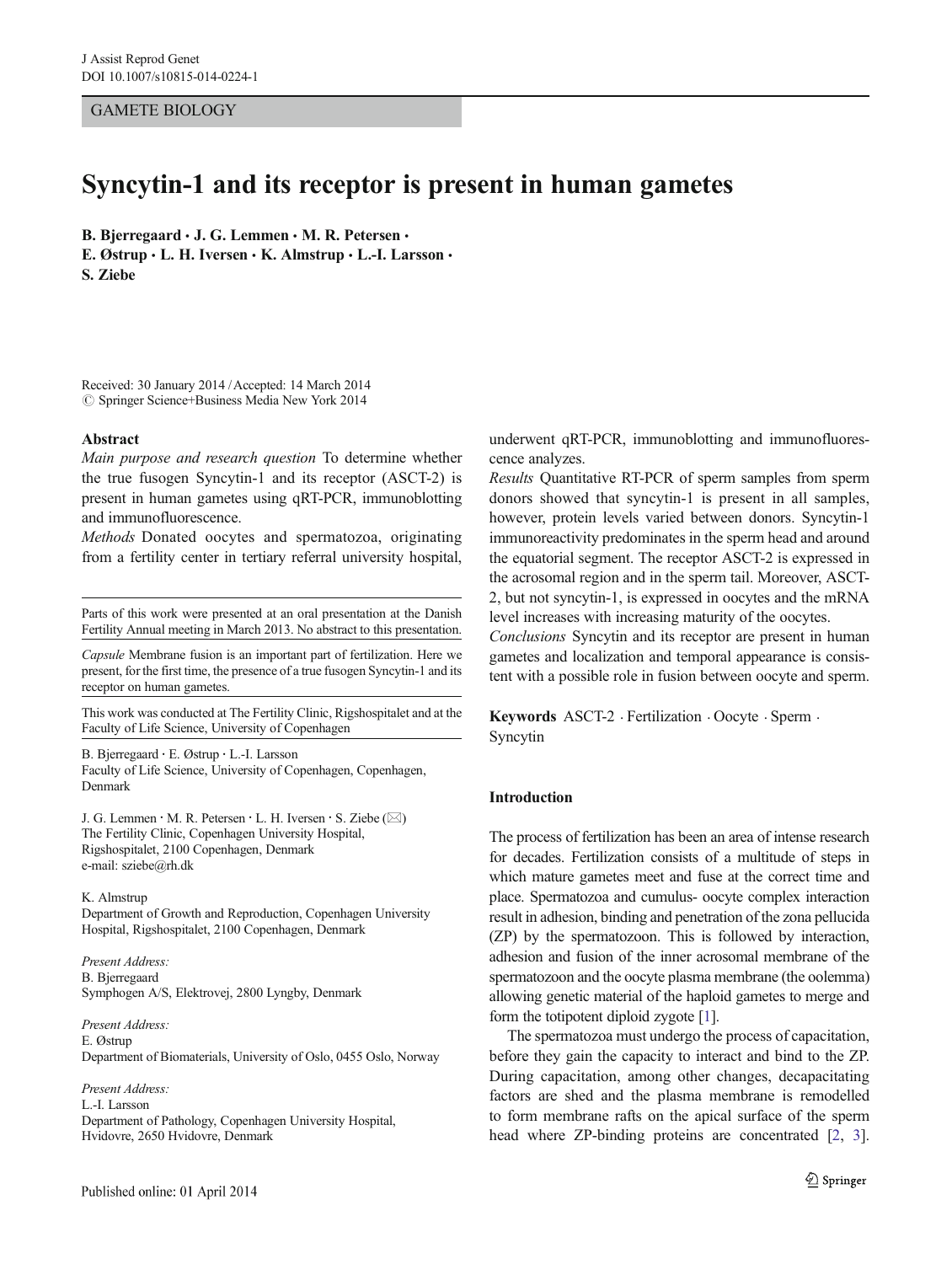GAMETE BIOLOGY

# Syncytin-1 and its receptor is present in human gametes

B. Bjerregaard  $\cdot$  J. G. Lemmen  $\cdot$  M. R. Petersen  $\cdot$ 

E. Østrup  $\cdot$  L. H. Iversen  $\cdot$  K. Almstrup  $\cdot$  L.-I. Larsson  $\cdot$ S. Ziebe

Received: 30 January 2014 /Accepted: 14 March 2014  $\oslash$  Springer Science+Business Media New York 2014

#### Abstract

Main purpose and research question To determine whether the true fusogen Syncytin-1 and its receptor (ASCT-2) is present in human gametes using qRT-PCR, immunoblotting and immunofluorescence.

Methods Donated oocytes and spermatozoa, originating from a fertility center in tertiary referral university hospital,

Parts of this work were presented at an oral presentation at the Danish Fertility Annual meeting in March 2013. No abstract to this presentation.

Capsule Membrane fusion is an important part of fertilization. Here we present, for the first time, the presence of a true fusogen Syncytin-1 and its receptor on human gametes.

This work was conducted at The Fertility Clinic, Rigshospitalet and at the Faculty of Life Science, University of Copenhagen

B. Bjerregaard : E. Østrup : L.<I. Larsson Faculty of Life Science, University of Copenhagen, Copenhagen, Denmark

J. G. Lemmen  $\cdot$  M. R. Petersen  $\cdot$  L. H. Iversen  $\cdot$  S. Ziebe ( $\boxtimes$ ) The Fertility Clinic, Copenhagen University Hospital, Rigshospitalet, 2100 Copenhagen, Denmark e-mail: sziebe@rh.dk

K. Almstrup Department of Growth and Reproduction, Copenhagen University Hospital, Rigshospitalet, 2100 Copenhagen, Denmark

Present Address: B. Bjerregaard Symphogen A/S, Elektrovej, 2800 Lyngby, Denmark

Present Address: E. Østrup Department of Biomaterials, University of Oslo, 0455 Oslo, Norway

Present Address: L.-I. Larsson Department of Pathology, Copenhagen University Hospital, Hvidovre, 2650 Hvidovre, Denmark

underwent qRT-PCR, immunoblotting and immunofluorescence analyzes.

Results Quantitative RT-PCR of sperm samples from sperm donors showed that syncytin-1 is present in all samples, however, protein levels varied between donors. Syncytin-1 immunoreactivity predominates in the sperm head and around the equatorial segment. The receptor ASCT-2 is expressed in the acrosomal region and in the sperm tail. Moreover, ASCT-2, but not syncytin-1, is expressed in oocytes and the mRNA level increases with increasing maturity of the oocytes.

Conclusions Syncytin and its receptor are present in human gametes and localization and temporal appearance is consistent with a possible role in fusion between oocyte and sperm.

Keywords ASCT-2 . Fertilization . Oocyte . Sperm . Syncytin

# Introduction

The process of fertilization has been an area of intense research for decades. Fertilization consists of a multitude of steps in which mature gametes meet and fuse at the correct time and place. Spermatozoa and cumulus- oocyte complex interaction result in adhesion, binding and penetration of the zona pellucida (ZP) by the spermatozoon. This is followed by interaction, adhesion and fusion of the inner acrosomal membrane of the spermatozoon and the oocyte plasma membrane (the oolemma) allowing genetic material of the haploid gametes to merge and form the totipotent diploid zygote [\[1\]](#page-5-0).

The spermatozoa must undergo the process of capacitation, before they gain the capacity to interact and bind to the ZP. During capacitation, among other changes, decapacitating factors are shed and the plasma membrane is remodelled to form membrane rafts on the apical surface of the sperm head where ZP-binding proteins are concentrated [[2,](#page-5-0) [3\]](#page-5-0).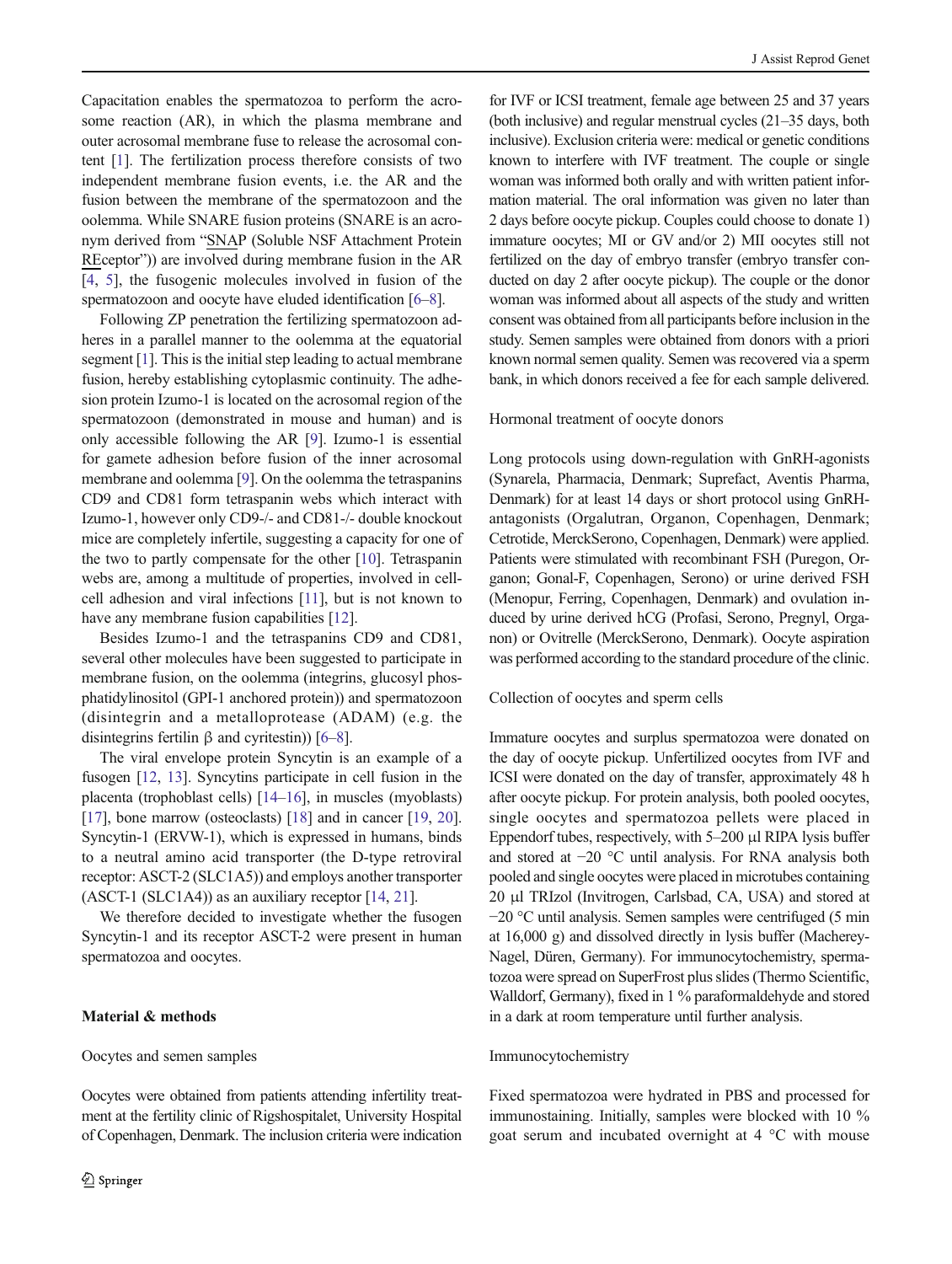Capacitation enables the spermatozoa to perform the acrosome reaction (AR), in which the plasma membrane and outer acrosomal membrane fuse to release the acrosomal content [[1\]](#page-5-0). The fertilization process therefore consists of two independent membrane fusion events, i.e. the AR and the fusion between the membrane of the spermatozoon and the oolemma. While SNARE fusion proteins (SNARE is an acronym derived from "SNAP (Soluble NSF Attachment Protein REceptor")) are involved during membrane fusion in the AR [\[4](#page-5-0), [5](#page-5-0)], the fusogenic molecules involved in fusion of the spermatozoon and oocyte have eluded identification [[6](#page-5-0)–[8](#page-6-0)].

Following ZP penetration the fertilizing spermatozoon adheres in a parallel manner to the oolemma at the equatorial segment [\[1](#page-5-0)]. This is the initial step leading to actual membrane fusion, hereby establishing cytoplasmic continuity. The adhesion protein Izumo-1 is located on the acrosomal region of the spermatozoon (demonstrated in mouse and human) and is only accessible following the AR [\[9\]](#page-6-0). Izumo-1 is essential for gamete adhesion before fusion of the inner acrosomal membrane and oolemma [\[9](#page-6-0)]. On the oolemma the tetraspanins CD9 and CD81 form tetraspanin webs which interact with Izumo-1, however only CD9-/- and CD81-/- double knockout mice are completely infertile, suggesting a capacity for one of the two to partly compensate for the other [[10](#page-6-0)]. Tetraspanin webs are, among a multitude of properties, involved in cellcell adhesion and viral infections [\[11\]](#page-6-0), but is not known to have any membrane fusion capabilities [[12](#page-6-0)].

Besides Izumo-1 and the tetraspanins CD9 and CD81, several other molecules have been suggested to participate in membrane fusion, on the oolemma (integrins, glucosyl phosphatidylinositol (GPI-1 anchored protein)) and spermatozoon (disintegrin and a metalloprotease (ADAM) (e.g. the disintegrins fertilin β and cyritestin)) [[6](#page-5-0)–[8](#page-6-0)].

The viral envelope protein Syncytin is an example of a fusogen [[12](#page-6-0), [13](#page-6-0)]. Syncytins participate in cell fusion in the placenta (trophoblast cells) [\[14](#page-6-0)–[16\]](#page-6-0), in muscles (myoblasts) [\[17\]](#page-6-0), bone marrow (osteoclasts) [[18](#page-6-0)] and in cancer [\[19](#page-6-0), [20\]](#page-6-0). Syncytin-1 (ERVW-1), which is expressed in humans, binds to a neutral amino acid transporter (the D-type retroviral receptor: ASCT-2 (SLC1A5)) and employs another transporter (ASCT-1 (SLC1A4)) as an auxiliary receptor [[14](#page-6-0), [21](#page-6-0)].

We therefore decided to investigate whether the fusogen Syncytin-1 and its receptor ASCT-2 were present in human spermatozoa and oocytes.

#### Material & methods

#### Oocytes and semen samples

Oocytes were obtained from patients attending infertility treatment at the fertility clinic of Rigshospitalet, University Hospital of Copenhagen, Denmark. The inclusion criteria were indication

for IVF or ICSI treatment, female age between 25 and 37 years (both inclusive) and regular menstrual cycles (21–35 days, both inclusive). Exclusion criteria were: medical or genetic conditions known to interfere with IVF treatment. The couple or single woman was informed both orally and with written patient information material. The oral information was given no later than 2 days before oocyte pickup. Couples could choose to donate 1) immature oocytes; MI or GV and/or 2) MII oocytes still not fertilized on the day of embryo transfer (embryo transfer conducted on day 2 after oocyte pickup). The couple or the donor woman was informed about all aspects of the study and written consent was obtained from all participants before inclusion in the study. Semen samples were obtained from donors with a priori known normal semen quality. Semen was recovered via a sperm bank, in which donors received a fee for each sample delivered.

#### Hormonal treatment of oocyte donors

Long protocols using down-regulation with GnRH-agonists (Synarela, Pharmacia, Denmark; Suprefact, Aventis Pharma, Denmark) for at least 14 days or short protocol using GnRHantagonists (Orgalutran, Organon, Copenhagen, Denmark; Cetrotide, MerckSerono, Copenhagen, Denmark) were applied. Patients were stimulated with recombinant FSH (Puregon, Organon; Gonal-F, Copenhagen, Serono) or urine derived FSH (Menopur, Ferring, Copenhagen, Denmark) and ovulation induced by urine derived hCG (Profasi, Serono, Pregnyl, Organon) or Ovitrelle (MerckSerono, Denmark). Oocyte aspiration was performed according to the standard procedure of the clinic.

## Collection of oocytes and sperm cells

Immature oocytes and surplus spermatozoa were donated on the day of oocyte pickup. Unfertilized oocytes from IVF and ICSI were donated on the day of transfer, approximately 48 h after oocyte pickup. For protein analysis, both pooled oocytes, single oocytes and spermatozoa pellets were placed in Eppendorf tubes, respectively, with 5–200 μl RIPA lysis buffer and stored at −20 °C until analysis. For RNA analysis both pooled and single oocytes were placed in microtubes containing 20 μl TRIzol (Invitrogen, Carlsbad, CA, USA) and stored at −20 °C until analysis. Semen samples were centrifuged (5 min at 16,000 g) and dissolved directly in lysis buffer (Macherey-Nagel, Düren, Germany). For immunocytochemistry, spermatozoa were spread on SuperFrost plus slides (Thermo Scientific, Walldorf, Germany), fixed in 1 % paraformaldehyde and stored in a dark at room temperature until further analysis.

#### Immunocytochemistry

Fixed spermatozoa were hydrated in PBS and processed for immunostaining. Initially, samples were blocked with 10 % goat serum and incubated overnight at 4 °C with mouse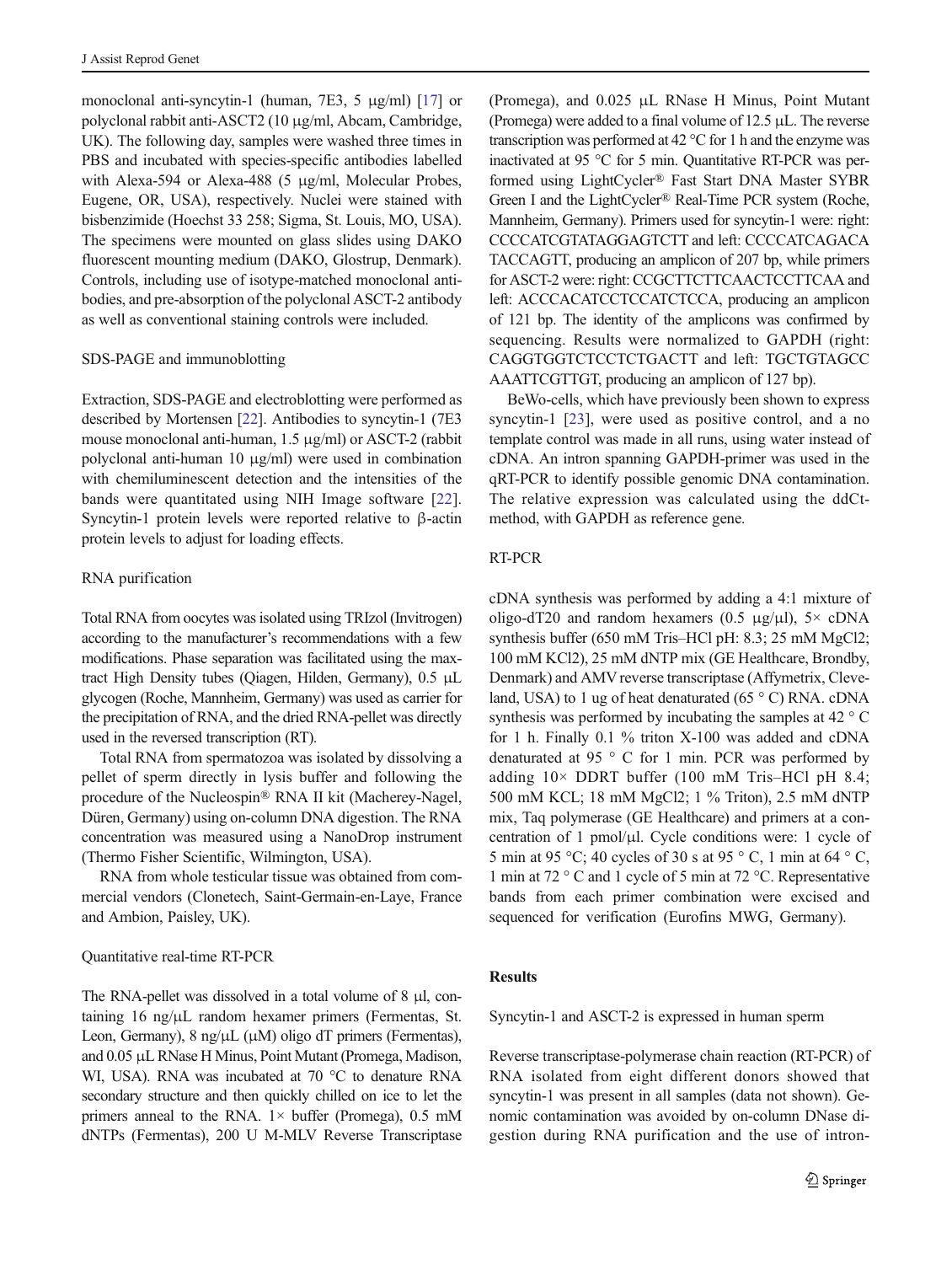monoclonal anti-syncytin-1 (human, 7E3, 5 μg/ml) [\[17\]](#page-6-0) or polyclonal rabbit anti-ASCT2 (10 μg/ml, Abcam, Cambridge, UK). The following day, samples were washed three times in PBS and incubated with species-specific antibodies labelled with Alexa-594 or Alexa-488 (5 μg/ml, Molecular Probes, Eugene, OR, USA), respectively. Nuclei were stained with bisbenzimide (Hoechst 33 258; Sigma, St. Louis, MO, USA). The specimens were mounted on glass slides using DAKO fluorescent mounting medium (DAKO, Glostrup, Denmark). Controls, including use of isotype-matched monoclonal antibodies, and pre-absorption of the polyclonal ASCT-2 antibody as well as conventional staining controls were included.

#### SDS-PAGE and immunoblotting

Extraction, SDS-PAGE and electroblotting were performed as described by Mortensen [[22](#page-6-0)]. Antibodies to syncytin-1 (7E3 mouse monoclonal anti-human, 1.5 μg/ml) or ASCT-2 (rabbit polyclonal anti-human 10 μg/ml) were used in combination with chemiluminescent detection and the intensities of the bands were quantitated using NIH Image software [\[22](#page-6-0)]. Syncytin-1 protein levels were reported relative to β-actin protein levels to adjust for loading effects.

## RNA purification

Total RNA from oocytes was isolated using TRIzol (Invitrogen) according to the manufacturer's recommendations with a few modifications. Phase separation was facilitated using the maxtract High Density tubes (Qiagen, Hilden, Germany), 0.5 μL glycogen (Roche, Mannheim, Germany) was used as carrier for the precipitation of RNA, and the dried RNA-pellet was directly used in the reversed transcription (RT).

Total RNA from spermatozoa was isolated by dissolving a pellet of sperm directly in lysis buffer and following the procedure of the Nucleospin® RNA II kit (Macherey-Nagel, Düren, Germany) using on-column DNA digestion. The RNA concentration was measured using a NanoDrop instrument (Thermo Fisher Scientific, Wilmington, USA).

RNA from whole testicular tissue was obtained from commercial vendors (Clonetech, Saint-Germain-en-Laye, France and Ambion, Paisley, UK).

## Quantitative real-time RT-PCR

The RNA-pellet was dissolved in a total volume of 8 μl, containing 16 ng/μL random hexamer primers (Fermentas, St. Leon, Germany), 8 ng/μL (μM) oligo dT primers (Fermentas), and 0.05 μL RNase H Minus, Point Mutant (Promega, Madison, WI, USA). RNA was incubated at 70 °C to denature RNA secondary structure and then quickly chilled on ice to let the primers anneal to the RNA.  $1 \times$  buffer (Promega), 0.5 mM dNTPs (Fermentas), 200 U M-MLV Reverse Transcriptase (Promega), and 0.025 μL RNase H Minus, Point Mutant (Promega) were added to a final volume of 12.5 μL. The reverse transcription was performed at 42 °C for 1 h and the enzyme was inactivated at 95 °C for 5 min. Quantitative RT-PCR was performed using LightCycler® Fast Start DNA Master SYBR Green I and the LightCycler® Real-Time PCR system (Roche, Mannheim, Germany). Primers used for syncytin-1 were: right: CCCCATCGTATAGGAGTCTT and left: CCCCATCAGACA TACCAGTT, producing an amplicon of 207 bp, while primers for ASCT-2 were: right: CCGCTTCTTCAACTCCTTCAA and left: ACCCACATCCTCCATCTCCA, producing an amplicon of 121 bp. The identity of the amplicons was confirmed by sequencing. Results were normalized to GAPDH (right: CAGGTGGTCTCCTCTGACTT and left: TGCTGTAGCC AAATTCGTTGT, producing an amplicon of 127 bp).

BeWo-cells, which have previously been shown to express syncytin-1 [\[23](#page-6-0)], were used as positive control, and a no template control was made in all runs, using water instead of cDNA. An intron spanning GAPDH-primer was used in the qRT-PCR to identify possible genomic DNA contamination. The relative expression was calculated using the ddCtmethod, with GAPDH as reference gene.

## RT-PCR

cDNA synthesis was performed by adding a 4:1 mixture of oligo-dT20 and random hexamers (0.5  $\mu$ g/ $\mu$ l), 5× cDNA synthesis buffer (650 mM Tris–HCl pH: 8.3; 25 mM MgCl2; 100 mM KCl2), 25 mM dNTP mix (GE Healthcare, Brondby, Denmark) and AMV reverse transcriptase (Affymetrix, Cleveland, USA) to 1 ug of heat denaturated (65 °C) RNA. cDNA synthesis was performed by incubating the samples at 42 ° C for 1 h. Finally 0.1 % triton X-100 was added and cDNA denaturated at 95 ° C for 1 min. PCR was performed by adding 10× DDRT buffer (100 mM Tris–HCl pH 8.4; 500 mM KCL; 18 mM MgCl2; 1 % Triton), 2.5 mM dNTP mix, Taq polymerase (GE Healthcare) and primers at a concentration of 1 pmol/μl. Cycle conditions were: 1 cycle of 5 min at 95 °C; 40 cycles of 30 s at 95 ° C, 1 min at 64 ° C, 1 min at 72 ° C and 1 cycle of 5 min at 72 °C. Representative bands from each primer combination were excised and sequenced for verification (Eurofins MWG, Germany).

## Results

Syncytin-1 and ASCT-2 is expressed in human sperm

Reverse transcriptase-polymerase chain reaction (RT-PCR) of RNA isolated from eight different donors showed that syncytin-1 was present in all samples (data not shown). Genomic contamination was avoided by on-column DNase digestion during RNA purification and the use of intron-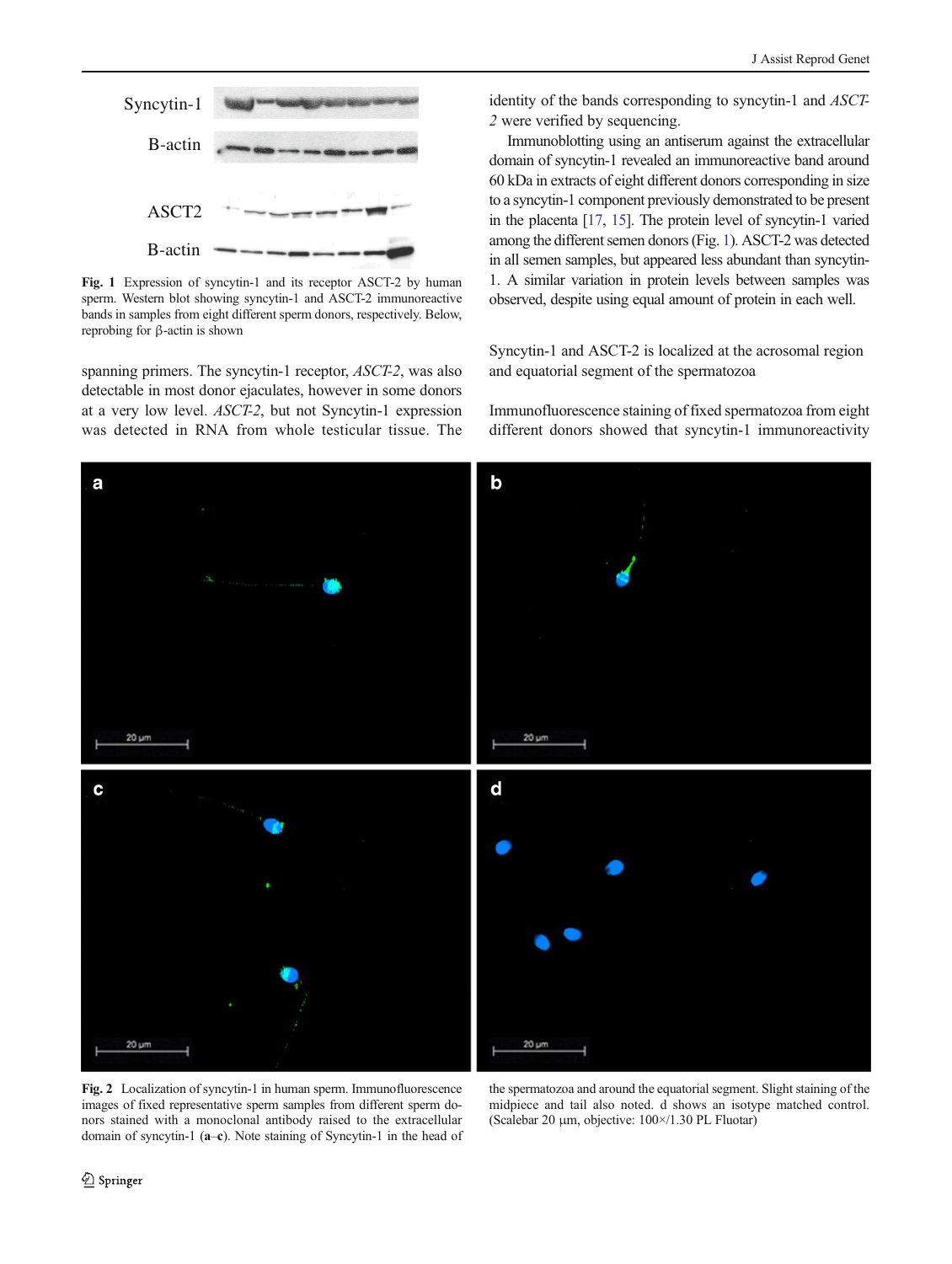<span id="page-3-0"></span>

Fig. 1 Expression of syncytin-1 and its receptor ASCT-2 by human sperm. Western blot showing syncytin-1 and ASCT-2 immunoreactive bands in samples from eight different sperm donors, respectively. Below, reprobing for β-actin is shown

spanning primers. The syncytin-1 receptor, ASCT-2, was also detectable in most donor ejaculates, however in some donors at a very low level. ASCT-2, but not Syncytin-1 expression was detected in RNA from whole testicular tissue. The identity of the bands corresponding to syncytin-1 and ASCT-2 were verified by sequencing.

Immunoblotting using an antiserum against the extracellular domain of syncytin-1 revealed an immunoreactive band around 60 kDa in extracts of eight different donors corresponding in size to a syncytin-1 component previously demonstrated to be present in the placenta [[17](#page-6-0), [15\]](#page-6-0). The protein level of syncytin-1 varied among the different semen donors (Fig. 1). ASCT-2 was detected in all semen samples, but appeared less abundant than syncytin-1. A similar variation in protein levels between samples was observed, despite using equal amount of protein in each well.

Syncytin-1 and ASCT-2 is localized at the acrosomal region and equatorial segment of the spermatozoa

Immunofluorescence staining of fixed spermatozoa from eight different donors showed that syncytin-1 immunoreactivity



Fig. 2 Localization of syncytin-1 in human sperm. Immunofluorescence images of fixed representative sperm samples from different sperm donors stained with a monoclonal antibody raised to the extracellular domain of syncytin-1 (a–c). Note staining of Syncytin-1 in the head of

the spermatozoa and around the equatorial segment. Slight staining of the midpiece and tail also noted. d shows an isotype matched control. (Scalebar 20 μm, objective: 100×/1.30 PL Fluotar)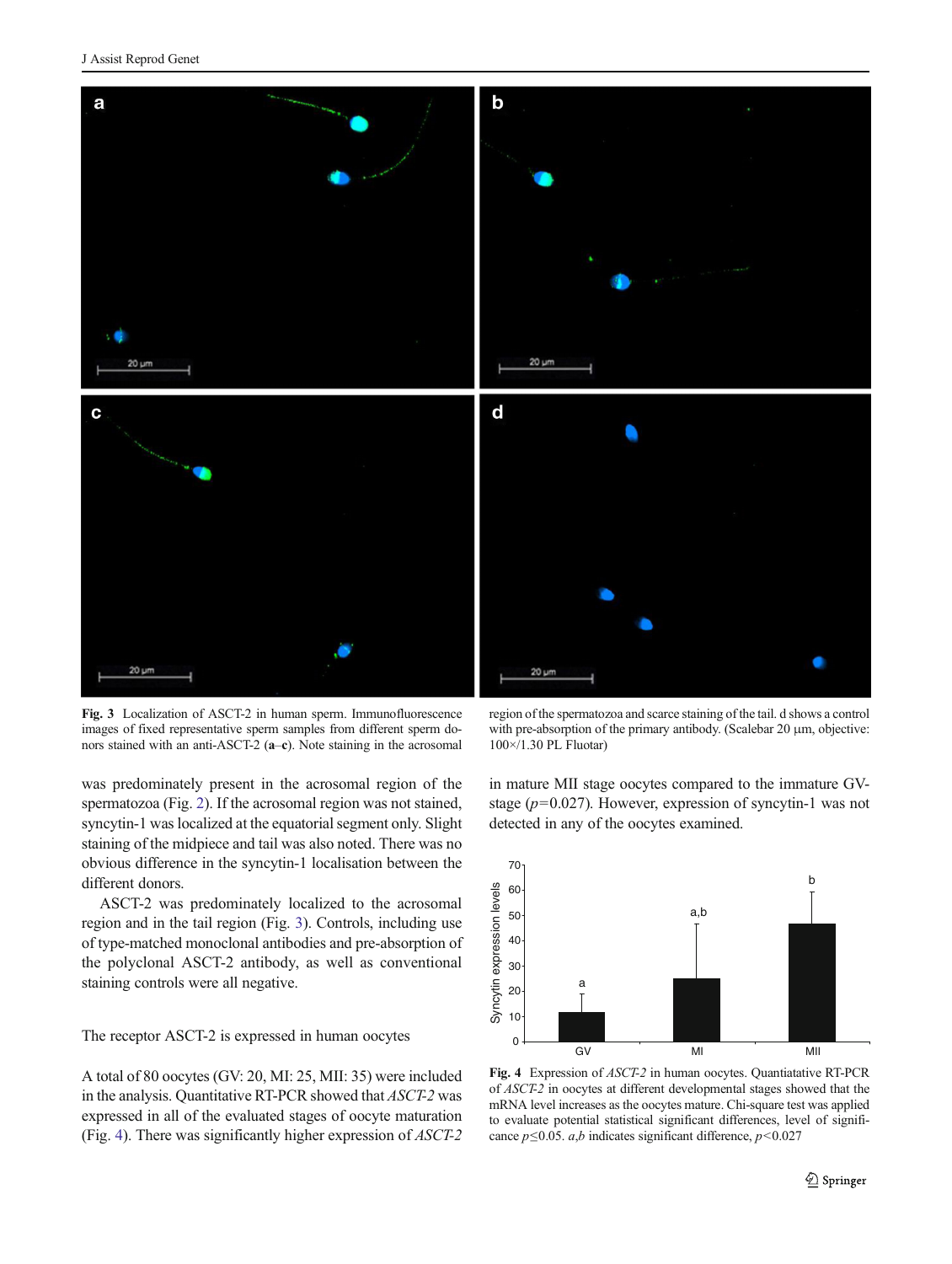

Fig. 3 Localization of ASCT-2 in human sperm. Immunofluorescence images of fixed representative sperm samples from different sperm donors stained with an anti-ASCT-2 (a–c). Note staining in the acrosomal

was predominately present in the acrosomal region of the spermatozoa (Fig. [2\)](#page-3-0). If the acrosomal region was not stained, syncytin-1 was localized at the equatorial segment only. Slight staining of the midpiece and tail was also noted. There was no obvious difference in the syncytin-1 localisation between the different donors.

ASCT-2 was predominately localized to the acrosomal region and in the tail region (Fig. 3). Controls, including use of type-matched monoclonal antibodies and pre-absorption of the polyclonal ASCT-2 antibody, as well as conventional staining controls were all negative.

The receptor ASCT-2 is expressed in human oocytes

A total of 80 oocytes (GV: 20, MI: 25, MII: 35) were included in the analysis. Quantitative RT-PCR showed that ASCT-2 was expressed in all of the evaluated stages of oocyte maturation (Fig. 4). There was significantly higher expression of ASCT-2

region of the spermatozoa and scarce staining of the tail. d shows a control with pre-absorption of the primary antibody. (Scalebar 20 μm, objective: 100×/1.30 PL Fluotar)

in mature MII stage oocytes compared to the immature GVstage ( $p=0.027$ ). However, expression of syncytin-1 was not detected in any of the oocytes examined.



Fig. 4 Expression of ASCT-2 in human oocytes. Quantiatative RT-PCR of ASCT-2 in oocytes at different developmental stages showed that the mRNA level increases as the oocytes mature. Chi-square test was applied to evaluate potential statistical significant differences, level of significance  $p \le 0.05$ . *a*,*b* indicates significant difference,  $p < 0.027$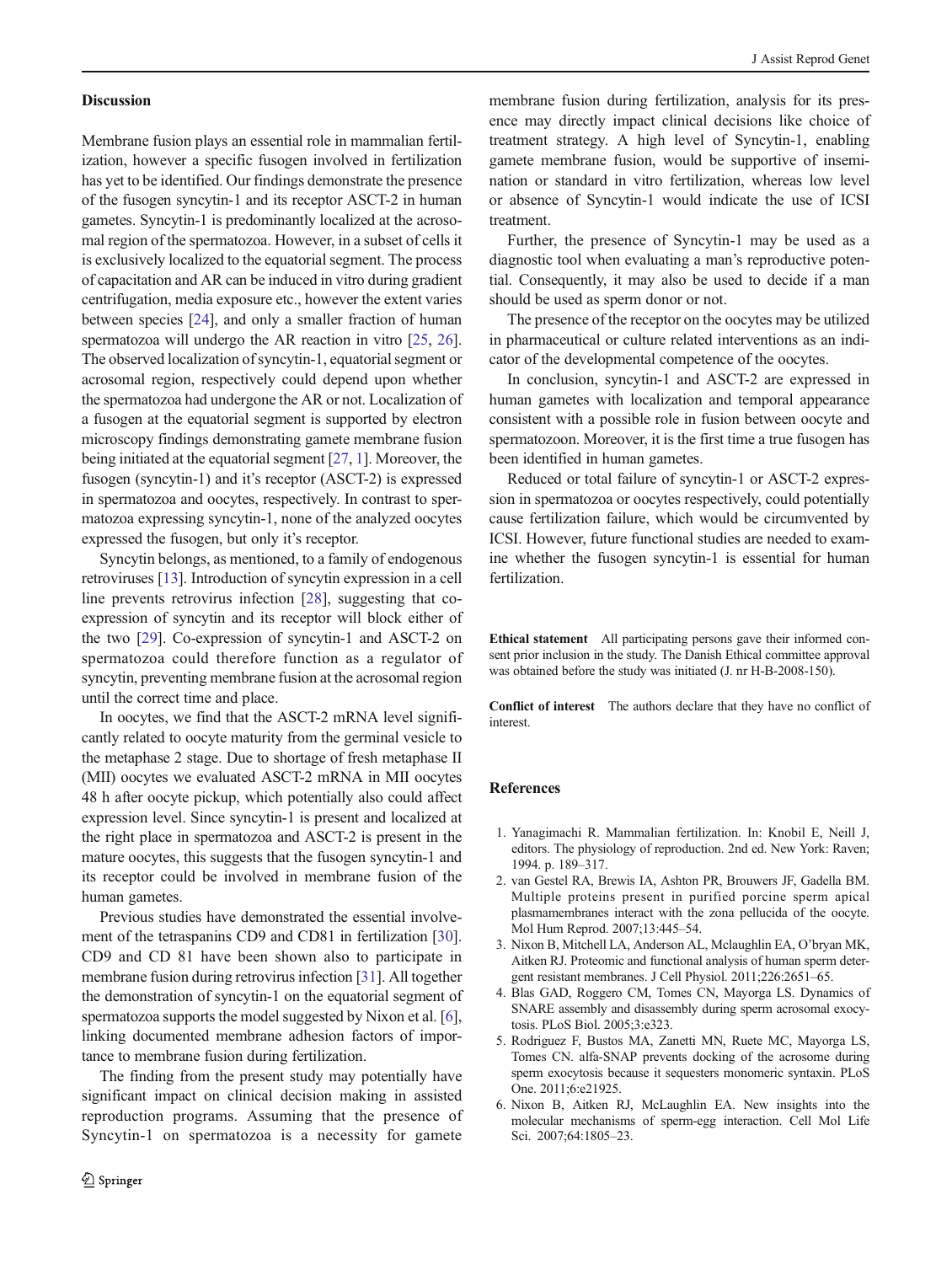#### <span id="page-5-0"></span>**Discussion**

Membrane fusion plays an essential role in mammalian fertilization, however a specific fusogen involved in fertilization has yet to be identified. Our findings demonstrate the presence of the fusogen syncytin-1 and its receptor ASCT-2 in human gametes. Syncytin-1 is predominantly localized at the acrosomal region of the spermatozoa. However, in a subset of cells it is exclusively localized to the equatorial segment. The process of capacitation and AR can be induced in vitro during gradient centrifugation, media exposure etc., however the extent varies between species [\[24\]](#page-6-0), and only a smaller fraction of human spermatozoa will undergo the AR reaction in vitro [\[25,](#page-6-0) [26\]](#page-6-0). The observed localization of syncytin-1, equatorial segment or acrosomal region, respectively could depend upon whether the spermatozoa had undergone the AR or not. Localization of a fusogen at the equatorial segment is supported by electron microscopy findings demonstrating gamete membrane fusion being initiated at the equatorial segment [\[27](#page-6-0), 1]. Moreover, the fusogen (syncytin-1) and it's receptor (ASCT-2) is expressed in spermatozoa and oocytes, respectively. In contrast to spermatozoa expressing syncytin-1, none of the analyzed oocytes expressed the fusogen, but only it's receptor.

Syncytin belongs, as mentioned, to a family of endogenous retroviruses [[13\]](#page-6-0). Introduction of syncytin expression in a cell line prevents retrovirus infection [[28\]](#page-6-0), suggesting that coexpression of syncytin and its receptor will block either of the two [[29](#page-6-0)]. Co-expression of syncytin-1 and ASCT-2 on spermatozoa could therefore function as a regulator of syncytin, preventing membrane fusion at the acrosomal region until the correct time and place.

In oocytes, we find that the ASCT-2 mRNA level significantly related to oocyte maturity from the germinal vesicle to the metaphase 2 stage. Due to shortage of fresh metaphase II (MII) oocytes we evaluated ASCT-2 mRNA in MII oocytes 48 h after oocyte pickup, which potentially also could affect expression level. Since syncytin-1 is present and localized at the right place in spermatozoa and ASCT-2 is present in the mature oocytes, this suggests that the fusogen syncytin-1 and its receptor could be involved in membrane fusion of the human gametes.

Previous studies have demonstrated the essential involvement of the tetraspanins CD9 and CD81 in fertilization [[30\]](#page-6-0). CD9 and CD 81 have been shown also to participate in membrane fusion during retrovirus infection [\[31\]](#page-6-0). All together the demonstration of syncytin-1 on the equatorial segment of spermatozoa supports the model suggested by Nixon et al. [6], linking documented membrane adhesion factors of importance to membrane fusion during fertilization.

The finding from the present study may potentially have significant impact on clinical decision making in assisted reproduction programs. Assuming that the presence of Syncytin-1 on spermatozoa is a necessity for gamete

membrane fusion during fertilization, analysis for its presence may directly impact clinical decisions like choice of treatment strategy. A high level of Syncytin-1, enabling gamete membrane fusion, would be supportive of insemination or standard in vitro fertilization, whereas low level or absence of Syncytin-1 would indicate the use of ICSI treatment.

Further, the presence of Syncytin-1 may be used as a diagnostic tool when evaluating a man's reproductive potential. Consequently, it may also be used to decide if a man should be used as sperm donor or not.

The presence of the receptor on the oocytes may be utilized in pharmaceutical or culture related interventions as an indicator of the developmental competence of the oocytes.

In conclusion, syncytin-1 and ASCT-2 are expressed in human gametes with localization and temporal appearance consistent with a possible role in fusion between oocyte and spermatozoon. Moreover, it is the first time a true fusogen has been identified in human gametes.

Reduced or total failure of syncytin-1 or ASCT-2 expression in spermatozoa or oocytes respectively, could potentially cause fertilization failure, which would be circumvented by ICSI. However, future functional studies are needed to examine whether the fusogen syncytin-1 is essential for human fertilization.

Ethical statement All participating persons gave their informed consent prior inclusion in the study. The Danish Ethical committee approval was obtained before the study was initiated (J. nr H-B-2008-150).

Conflict of interest The authors declare that they have no conflict of interest.

## References

- 1. Yanagimachi R. Mammalian fertilization. In: Knobil E, Neill J, editors. The physiology of reproduction. 2nd ed. New York: Raven; 1994. p. 189–317.
- 2. van Gestel RA, Brewis IA, Ashton PR, Brouwers JF, Gadella BM. Multiple proteins present in purified porcine sperm apical plasmamembranes interact with the zona pellucida of the oocyte. Mol Hum Reprod. 2007;13:445–54.
- 3. Nixon B, Mitchell LA, Anderson AL, Mclaughlin EA, O'bryan MK, Aitken RJ. Proteomic and functional analysis of human sperm detergent resistant membranes. J Cell Physiol. 2011;226:2651–65.
- 4. Blas GAD, Roggero CM, Tomes CN, Mayorga LS. Dynamics of SNARE assembly and disassembly during sperm acrosomal exocytosis. PLoS Biol. 2005;3:e323.
- 5. Rodriguez F, Bustos MA, Zanetti MN, Ruete MC, Mayorga LS, Tomes CN. alfa-SNAP prevents docking of the acrosome during sperm exocytosis because it sequesters monomeric syntaxin. PLoS One. 2011;6:e21925.
- 6. Nixon B, Aitken RJ, McLaughlin EA. New insights into the molecular mechanisms of sperm-egg interaction. Cell Mol Life Sci. 2007;64:1805–23.